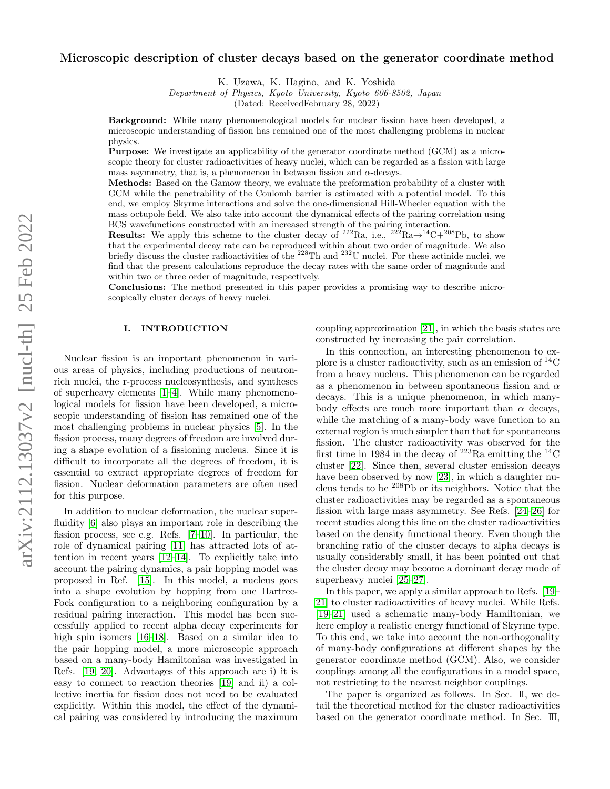# Microscopic description of cluster decays based on the generator coordinate method

K. Uzawa, K. Hagino, and K. Yoshida

Department of Physics, Kyoto University, Kyoto 606-8502, Japan

(Dated: ReceivedFebruary 28, 2022)

Background: While many phenomenological models for nuclear fission have been developed, a microscopic understanding of fission has remained one of the most challenging problems in nuclear physics.

Purpose: We investigate an applicability of the generator coordinate method (GCM) as a microscopic theory for cluster radioactivities of heavy nuclei, which can be regarded as a fission with large mass asymmetry, that is, a phenomenon in between fission and  $\alpha$ -decays.

Methods: Based on the Gamow theory, we evaluate the preformation probability of a cluster with GCM while the penetrability of the Coulomb barrier is estimated with a potential model. To this end, we employ Skyrme interactions and solve the one-dimensional Hill-Wheeler equation with the mass octupole field. We also take into account the dynamical effects of the pairing correlation using BCS wavefunctions constructed with an increased strength of the pairing interaction.

Results: We apply this scheme to the cluster decay of  $^{222}Ra$ , i.e.,  $^{222}Ra \rightarrow ^{14}C+^{208}Pb$ , to show that the experimental decay rate can be reproduced within about two order of magnitude. We also briefly discuss the cluster radioactivities of the <sup>228</sup>Th and <sup>232</sup>U nuclei. For these actinide nuclei, we find that the present calculations reproduce the decay rates with the same order of magnitude and within two or three order of magnitude, respectively.

Conclusions: The method presented in this paper provides a promising way to describe microscopically cluster decays of heavy nuclei.

## I. INTRODUCTION

Nuclear fission is an important phenomenon in various areas of physics, including productions of neutronrich nuclei, the r-process nucleosynthesis, and syntheses of superheavy elements [\[1–](#page-6-0)[4\]](#page-6-1). While many phenomenological models for fission have been developed, a microscopic understanding of fission has remained one of the most challenging problems in nuclear physics [\[5\]](#page-6-2). In the fission process, many degrees of freedom are involved during a shape evolution of a fissioning nucleus. Since it is difficult to incorporate all the degrees of freedom, it is essential to extract appropriate degrees of freedom for fission. Nuclear deformation parameters are often used for this purpose.

In addition to nuclear deformation, the nuclear superfluidity [\[6\]](#page-7-0) also plays an important role in describing the fission process, see e.g. Refs. [\[7–](#page-7-1)[10\]](#page-7-2). In particular, the role of dynamical pairing [\[11\]](#page-7-3) has attracted lots of attention in recent years [\[12–](#page-7-4)[14\]](#page-7-5). To explicitly take into account the pairing dynamics, a pair hopping model was proposed in Ref. [\[15\]](#page-7-6). In this model, a nucleus goes into a shape evolution by hopping from one Hartree-Fock configuration to a neighboring configuration by a residual pairing interaction. This model has been successfully applied to recent alpha decay experiments for high spin isomers [\[16–](#page-7-7)[18\]](#page-7-8). Based on a similar idea to the pair hopping model, a more microscopic approach based on a many-body Hamiltonian was investigated in Refs. [\[19,](#page-7-9) [20\]](#page-7-10). Advantages of this approach are i) it is easy to connect to reaction theories [\[19\]](#page-7-9) and ii) a collective inertia for fission does not need to be evaluated explicitly. Within this model, the effect of the dynamical pairing was considered by introducing the maximum

coupling approximation [\[21\]](#page-7-11), in which the basis states are constructed by increasing the pair correlation.

In this connection, an interesting phenomenon to explore is a cluster radioactivity, such as an emission of  ${}^{14}C$ from a heavy nucleus. This phenomenon can be regarded as a phenomenon in between spontaneous fission and  $\alpha$ decays. This is a unique phenomenon, in which manybody effects are much more important than  $\alpha$  decays, while the matching of a many-body wave function to an external region is much simpler than that for spontaneous fission. The cluster radioactivity was observed for the first time in 1984 in the decay of  $223$ Ra emitting the  $14$ C cluster [\[22\]](#page-7-12). Since then, several cluster emission decays have been observed by now [\[23\]](#page-7-13), in which a daughter nucleus tends to be <sup>208</sup>Pb or its neighbors. Notice that the cluster radioactivities may be regarded as a spontaneous fission with large mass asymmetry. See Refs. [\[24–](#page-7-14)[26\]](#page-7-15) for recent studies along this line on the cluster radioactivities based on the density functional theory. Even though the branching ratio of the cluster decays to alpha decays is usually considerably small, it has been pointed out that the cluster decay may become a dominant decay mode of superheavy nuclei [\[25](#page-7-16)[–27\]](#page-7-17).

In this paper, we apply a similar approach to Refs. [\[19–](#page-7-9) [21\]](#page-7-11) to cluster radioactivities of heavy nuclei. While Refs. [\[19–](#page-7-9)[21\]](#page-7-11) used a schematic many-body Hamiltonian, we here employ a realistic energy functional of Skyrme type. To this end, we take into account the non-orthogonality of many-body configurations at different shapes by the generator coordinate method (GCM). Also, we consider couplings among all the configurations in a model space, not restricting to the nearest neighbor couplings.

The paper is organized as follows. In Sec. II, we detail the theoretical method for the cluster radioactivities based on the generator coordinate method. In Sec. III,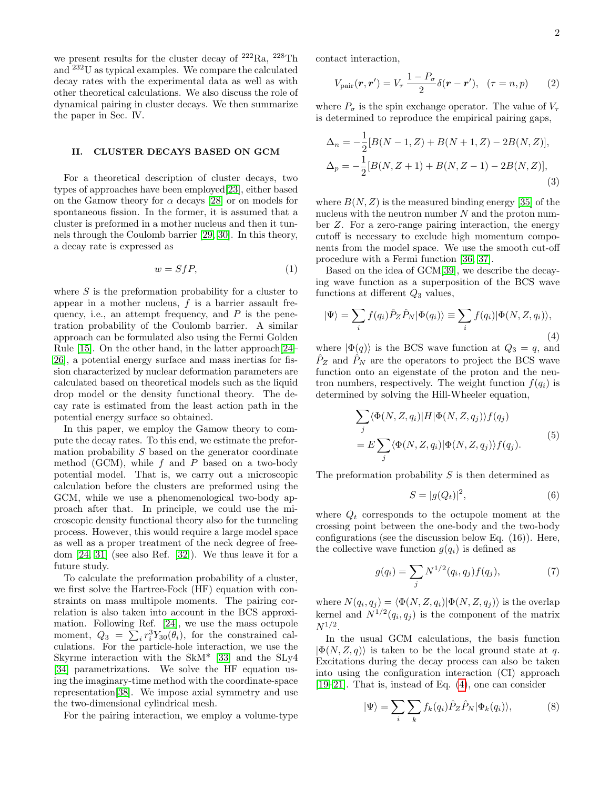we present results for the cluster decay of  $222Ra$ ,  $228Th$ and <sup>232</sup>U as typical examples. We compare the calculated decay rates with the experimental data as well as with other theoretical calculations. We also discuss the role of dynamical pairing in cluster decays. We then summarize the paper in Sec. IV.

### II. CLUSTER DECAYS BASED ON GCM

For a theoretical description of cluster decays, two types of approaches have been employed[\[23\]](#page-7-13), either based on the Gamow theory for  $\alpha$  decays [\[28\]](#page-7-18) or on models for spontaneous fission. In the former, it is assumed that a cluster is preformed in a mother nucleus and then it tunnels through the Coulomb barrier [\[29,](#page-7-19) [30\]](#page-7-20). In this theory, a decay rate is expressed as

$$
w = SfP,\tag{1}
$$

where  $S$  is the preformation probability for a cluster to appear in a mother nucleus,  $f$  is a barrier assault frequency, i.e., an attempt frequency, and  $P$  is the penetration probability of the Coulomb barrier. A similar approach can be formulated also using the Fermi Golden Rule [\[15\]](#page-7-6). On the other hand, in the latter approach[\[24–](#page-7-14) [26\]](#page-7-15), a potential energy surface and mass inertias for fission characterized by nuclear deformation parameters are calculated based on theoretical models such as the liquid drop model or the density functional theory. The decay rate is estimated from the least action path in the potential energy surface so obtained.

In this paper, we employ the Gamow theory to compute the decay rates. To this end, we estimate the preformation probability S based on the generator coordinate method (GCM), while  $f$  and  $P$  based on a two-body potential model. That is, we carry out a microscopic calculation before the clusters are preformed using the GCM, while we use a phenomenological two-body approach after that. In principle, we could use the microscopic density functional theory also for the tunneling process. However, this would require a large model space as well as a proper treatment of the neck degree of freedom [\[24,](#page-7-14) [31\]](#page-7-21) (see also Ref. [\[32\]](#page-7-22)). We thus leave it for a future study.

To calculate the preformation probability of a cluster, we first solve the Hartree-Fock (HF) equation with constraints on mass multipole moments. The pairing correlation is also taken into account in the BCS approximation. Following Ref. [\[24\]](#page-7-14), we use the mass octupole moment,  $Q_3 = \sum_i r_i^3 Y_{30}(\theta_i)$ , for the constrained calculations. For the particle-hole interaction, we use the Skyrme interaction with the SkM\* [\[33\]](#page-7-23) and the SLy4 [\[34\]](#page-7-24) parametrizations. We solve the HF equation using the imaginary-time method with the coordinate-space representation[\[38\]](#page-7-25). We impose axial symmetry and use the two-dimensional cylindrical mesh.

For the pairing interaction, we employ a volume-type

contact interaction,

$$
V_{\text{pair}}(\boldsymbol{r}, \boldsymbol{r}') = V_{\tau} \frac{1 - P_{\sigma}}{2} \delta(\boldsymbol{r} - \boldsymbol{r}'), \quad (\tau = n, p) \tag{2}
$$

where  $P_{\sigma}$  is the spin exchange operator. The value of  $V_{\tau}$ is determined to reproduce the empirical pairing gaps,

$$
\Delta_n = -\frac{1}{2}[B(N-1,Z) + B(N+1,Z) - 2B(N,Z)],
$$
  
\n
$$
\Delta_p = -\frac{1}{2}[B(N,Z+1) + B(N,Z-1) - 2B(N,Z)],
$$
\n(3)

where  $B(N, Z)$  is the measured binding energy [\[35\]](#page-7-26) of the nucleus with the neutron number  $N$  and the proton number Z. For a zero-range pairing interaction, the energy cutoff is necessary to exclude high momentum components from the model space. We use the smooth cut-off procedure with a Fermi function [\[36,](#page-7-27) [37\]](#page-7-28).

Based on the idea of GCM[\[39\]](#page-7-29), we describe the decaying wave function as a superposition of the BCS wave functions at different  $Q_3$  values,

<span id="page-1-0"></span>
$$
|\Psi\rangle = \sum_{i} f(q_i) \hat{P}_Z \hat{P}_N |\Phi(q_i)\rangle \equiv \sum_{i} f(q_i) |\Phi(N, Z, q_i)\rangle, \tag{4}
$$

where  $|\Phi(q)\rangle$  is the BCS wave function at  $Q_3 = q$ , and  $\ddot{P}_Z$  and  $\ddot{P}_N$  are the operators to project the BCS wave function onto an eigenstate of the proton and the neutron numbers, respectively. The weight function  $f(q_i)$  is determined by solving the Hill-Wheeler equation,

$$
\sum_{j} \langle \Phi(N, Z, q_i) | H | \Phi(N, Z, q_j) \rangle f(q_j) = E \sum_{j} \langle \Phi(N, Z, q_i) | \Phi(N, Z, q_j) \rangle f(q_j).
$$
 (5)

The preformation probability  $S$  is then determined as

<span id="page-1-2"></span><span id="page-1-1"></span>
$$
S = |g(Q_t)|^2,\t\t(6)
$$

where  $Q_t$  corresponds to the octupole moment at the crossing point between the one-body and the two-body configurations (see the discussion below Eq. (16)). Here, the collective wave function  $q(q_i)$  is defined as

$$
g(q_i) = \sum_j N^{1/2}(q_i, q_j) f(q_j), \tag{7}
$$

where  $N(q_i, q_j) = \langle \Phi(N, Z, q_i) | \Phi(N, Z, q_j) \rangle$  is the overlap kernel and  $N^{1/2}(q_i, q_j)$  is the component of the matrix  $N^{1/2}.$ 

In the usual GCM calculations, the basis function  $|\Phi(N, Z, q)\rangle$  is taken to be the local ground state at q. Excitations during the decay process can also be taken into using the configuration interaction (CI) approach [\[19–](#page-7-9)[21\]](#page-7-11). That is, instead of Eq. [\(4\)](#page-1-0), one can consider

$$
|\Psi\rangle = \sum_{i} \sum_{k} f_k(q_i) \hat{P}_Z \hat{P}_N |\Phi_k(q_i)\rangle, \tag{8}
$$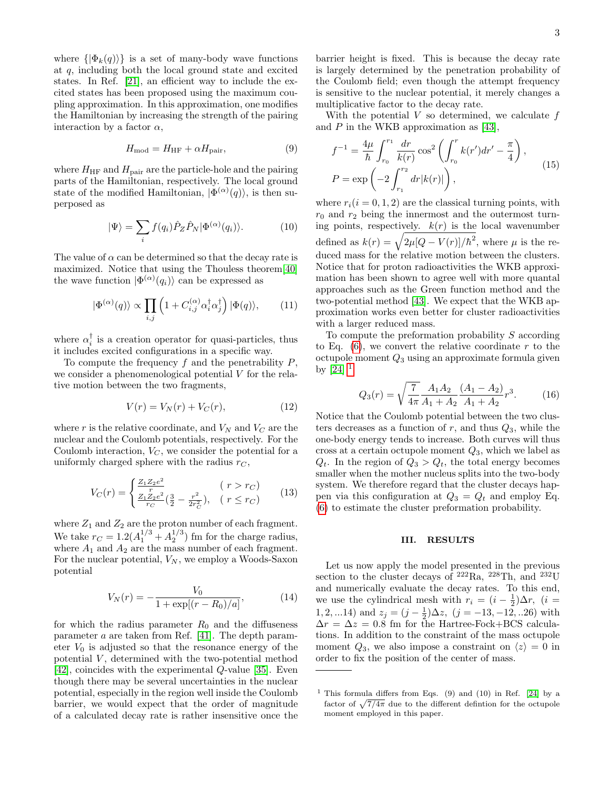where  $\{|\Phi_k(q)\rangle\}$  is a set of many-body wave functions at q, including both the local ground state and excited states. In Ref. [\[21\]](#page-7-11), an efficient way to include the excited states has been proposed using the maximum coupling approximation. In this approximation, one modifies the Hamiltonian by increasing the strength of the pairing interaction by a factor  $\alpha$ ,

<span id="page-2-1"></span>
$$
H_{\text{mod}} = H_{\text{HF}} + \alpha H_{\text{pair}},\tag{9}
$$

where  $H_{\text{HF}}$  and  $H_{\text{pair}}$  are the particle-hole and the pairing parts of the Hamiltonian, respectively. The local ground state of the modified Hamiltonian,  $|\Phi^{(\alpha)}(q)\rangle$ , is then superposed as

$$
|\Psi\rangle = \sum_{i} f(q_i) \hat{P}_Z \hat{P}_N |\Phi^{(\alpha)}(q_i)\rangle.
$$
 (10)

The value of  $\alpha$  can be determined so that the decay rate is maximized. Notice that using the Thouless theorem[\[40\]](#page-7-30) the wave function  $|\Phi^{(\alpha)}(q_i)\rangle$  can be expressed as

$$
|\Phi^{(\alpha)}(q)\rangle \propto \prod_{i,j} \left(1 + C_{i,j}^{(\alpha)} \alpha_i^{\dagger} \alpha_j^{\dagger}\right) |\Phi(q)\rangle, \qquad (11)
$$

where  $\alpha_i^{\dagger}$  is a creation operator for quasi-particles, thus it includes excited configurations in a specific way.

To compute the frequency  $f$  and the penetrability  $P$ , we consider a phenomenological potential V for the relative motion between the two fragments,

$$
V(r) = V_N(r) + V_C(r),\tag{12}
$$

where r is the relative coordinate, and  $V_N$  and  $V_C$  are the nuclear and the Coulomb potentials, respectively. For the Coulomb interaction,  $V_C$ , we consider the potential for a uniformly charged sphere with the radius  $r<sub>C</sub>$ ,

$$
V_C(r) = \begin{cases} \frac{Z_1 Z_2 e^2}{r} & (r > r_C) \\ \frac{Z_1 Z_2 e^2}{r_C} (\frac{3}{2} - \frac{r^2}{2r_C^2}), & (r \le r_C) \end{cases} \tag{13}
$$

where  $Z_1$  and  $Z_2$  are the proton number of each fragment. We take  $r_C = 1.2(A_1^{1/3} + A_2^{1/3})$  fm for the charge radius, where  $A_1$  and  $A_2$  are the mass number of each fragment. For the nuclear potential,  $V_N$ , we employ a Woods-Saxon potential

$$
V_N(r) = -\frac{V_0}{1 + \exp[(r - R_0)/a]},\tag{14}
$$

for which the radius parameter  $R_0$  and the diffuseness parameter a are taken from Ref. [\[41\]](#page-7-31). The depth parameter  $V_0$  is adjusted so that the resonance energy of the potential  $V$ , determined with the two-potential method [\[42\]](#page-7-32), coincides with the experimental Q-value [\[35\]](#page-7-26). Even though there may be several uncertainties in the nuclear potential, especially in the region well inside the Coulomb barrier, we would expect that the order of magnitude of a calculated decay rate is rather insensitive once the

barrier height is fixed. This is because the decay rate is largely determined by the penetration probability of the Coulomb field; even though the attempt frequency is sensitive to the nuclear potential, it merely changes a multiplicative factor to the decay rate.

With the potential  $V$  so determined, we calculate  $f$ and P in the WKB approximation as [\[43\]](#page-7-33),

$$
f^{-1} = \frac{4\mu}{\hbar} \int_{r_0}^{r_1} \frac{dr}{k(r)} \cos^2\left(\int_{r_0}^r k(r')dr' - \frac{\pi}{4}\right),
$$
  
\n
$$
P = \exp\left(-2 \int_{r_1}^{r_2} dr |k(r)|\right),
$$
\n(15)

where  $r_i(i = 0, 1, 2)$  are the classical turning points, with  $r_0$  and  $r_2$  being the innermost and the outermost turning points, respectively.  $k(r)$  is the local wavenumber defined as  $k(r) = \sqrt{2\mu [Q - V(r)]/\hbar^2}$ , where  $\mu$  is the reduced mass for the relative motion between the clusters. Notice that for proton radioactivities the WKB approximation has been shown to agree well with more quantal approaches such as the Green function method and the two-potential method [\[43\]](#page-7-33). We expect that the WKB approximation works even better for cluster radioactivities with a larger reduced mass.

<span id="page-2-2"></span>To compute the preformation probability S according to Eq.  $(6)$ , we convert the relative coordinate r to the octupole moment  $Q_3$  using an approximate formula given by  $[24]$ <sup>[1](#page-2-0)</sup>

$$
Q_3(r) = \sqrt{\frac{7}{4\pi}} \frac{A_1 A_2}{A_1 + A_2} \frac{(A_1 - A_2)}{A_1 + A_2} r^3.
$$
 (16)

Notice that the Coulomb potential between the two clusters decreases as a function of  $r$ , and thus  $Q_3$ , while the one-body energy tends to increase. Both curves will thus cross at a certain octupole moment  $Q_3$ , which we label as  $Q_t$ . In the region of  $Q_3 > Q_t$ , the total energy becomes smaller when the mother nucleus splits into the two-body system. We therefore regard that the cluster decays happen via this configuration at  $Q_3 = Q_t$  and employ Eq. [\(6\)](#page-1-1) to estimate the cluster preformation probability.

#### III. RESULTS

Let us now apply the model presented in the previous section to the cluster decays of  $^{222}$ Ra,  $^{228}$ Th, and  $^{232}$ U and numerically evaluate the decay rates. To this end, we use the cylindrical mesh with  $r_i = (i - \frac{1}{2})\Delta r$ ,  $(i =$ 1, 2, ...14) and  $z_j = (j - \frac{1}{2})\Delta z$ ,  $(j = -13, -12, ...26)$  with  $\Delta r = \Delta z = 0.8$  fm for the Hartree-Fock+BCS calculations. In addition to the constraint of the mass octupole moment  $Q_3$ , we also impose a constraint on  $\langle z \rangle = 0$  in order to fix the position of the center of mass.

<span id="page-2-0"></span><sup>&</sup>lt;sup>1</sup> This formula differs from Eqs. (9) and (10) in Ref. [\[24\]](#page-7-14) by a factor of  $\sqrt{7/4\pi}$  due to the different defintion for the octupole moment employed in this paper.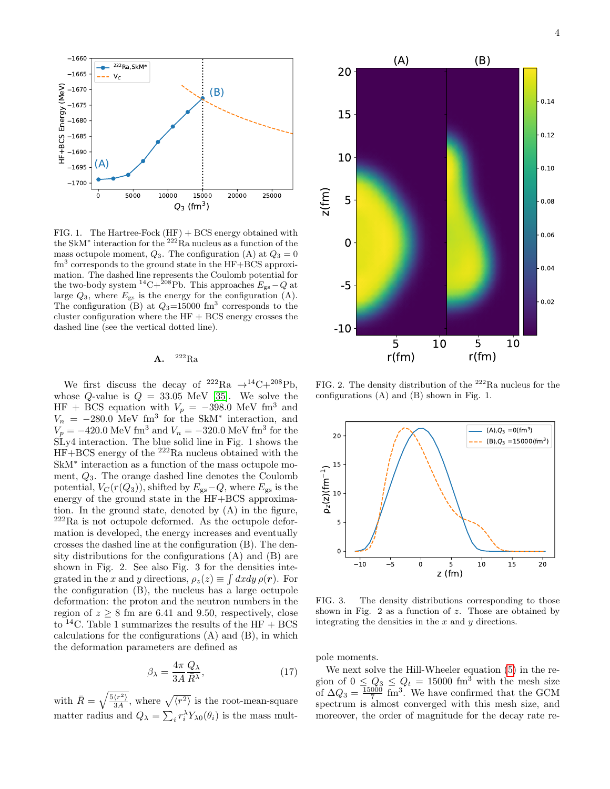

FIG. 1. The Hartree-Fock  $(HF) + BCS$  energy obtained with the SkM<sup>\*</sup> interaction for the <sup>222</sup>Ra nucleus as a function of the mass octupole moment,  $Q_3$ . The configuration (A) at  $Q_3 = 0$ fm<sup>3</sup> corresponds to the ground state in the HF+BCS approximation. The dashed line represents the Coulomb potential for the two-body system <sup>14</sup>C+<sup>208</sup>Pb. This approaches  $E_{gs} - Q$  at large  $Q_3$ , where  $E_{gs}$  is the energy for the configuration (A). The configuration (B) at  $Q_3=15000$  fm<sup>3</sup> corresponds to the cluster configuration where the HF + BCS energy crosses the dashed line (see the vertical dotted line).

## $\mathbf{A}$ .  $^{222}\text{Ra}$

We first discuss the decay of <sup>222</sup>Ra  $\rightarrow$ <sup>14</sup>C+<sup>208</sup>Pb, whose Q-value is  $Q = 33.05$  MeV [\[35\]](#page-7-26). We solve the HF + BCS equation with  $V_p = -398.0$  MeV fm<sup>3</sup> and  $V_n = -280.0$  MeV fm<sup>3</sup> for the SkM<sup>\*</sup> interaction, and  $V_p = -420.0 \text{ MeV fm}^3 \text{ and } V_n = -320.0 \text{ MeV fm}^3 \text{ for the }$ SLy4 interaction. The blue solid line in Fig. 1 shows the  $HF+BCS$  energy of the  $^{222}Ra$  nucleus obtained with the SkM<sup>∗</sup> interaction as a function of the mass octupole moment,  $Q_3$ . The orange dashed line denotes the Coulomb potential,  $V_C(r(Q_3))$ , shifted by  $E_{gs}-Q$ , where  $E_{gs}$  is the energy of the ground state in the HF+BCS approximation. In the ground state, denoted by (A) in the figure,  $222$ Ra is not octupole deformed. As the octupole deformation is developed, the energy increases and eventually crosses the dashed line at the configuration (B). The density distributions for the configurations (A) and (B) are shown in Fig. 2. See also Fig. 3 for the densities integrated in the x and y directions,  $\rho_z(z) \equiv \int dx dy \,\rho(\mathbf{r})$ . For the configuration (B), the nucleus has a large octupole deformation: the proton and the neutron numbers in the region of  $z \geq 8$  fm are 6.41 and 9.50, respectively, close to <sup>14</sup>C. Table 1 summarizes the results of the HF + BCS calculations for the configurations (A) and (B), in which the deformation parameters are defined as

$$
\beta_{\lambda} = \frac{4\pi}{3A} \frac{Q_{\lambda}}{\bar{R}^{\lambda}},\tag{17}
$$

with  $\bar{R} = \sqrt{\frac{5 \langle r^2 \rangle}{34}}$  $\frac{\langle r^2 \rangle}{3A}$ , where  $\sqrt{\langle r^2 \rangle}$  is the root-mean-square matter radius and  $Q_{\lambda} = \sum_{i} r_i^{\lambda} Y_{\lambda 0}(\theta_i)$  is the mass mult-



FIG. 2. The density distribution of the  $222$ Ra nucleus for the configurations (A) and (B) shown in Fig. 1.



FIG. 3. The density distributions corresponding to those shown in Fig.  $2$  as a function of  $z$ . Those are obtained by integrating the densities in the  $x$  and  $y$  directions.

pole moments.

We next solve the Hill-Wheeler equation [\(5\)](#page-1-2) in the region of  $0 \leq Q_3 \leq Q_t = 15000$  fm<sup>3</sup> with the mesh size of  $\Delta Q_3 = \frac{15000}{7}$  fm<sup>3</sup>. We have confirmed that the GCM spectrum is almost converged with this mesh size, and moreover, the order of magnitude for the decay rate re-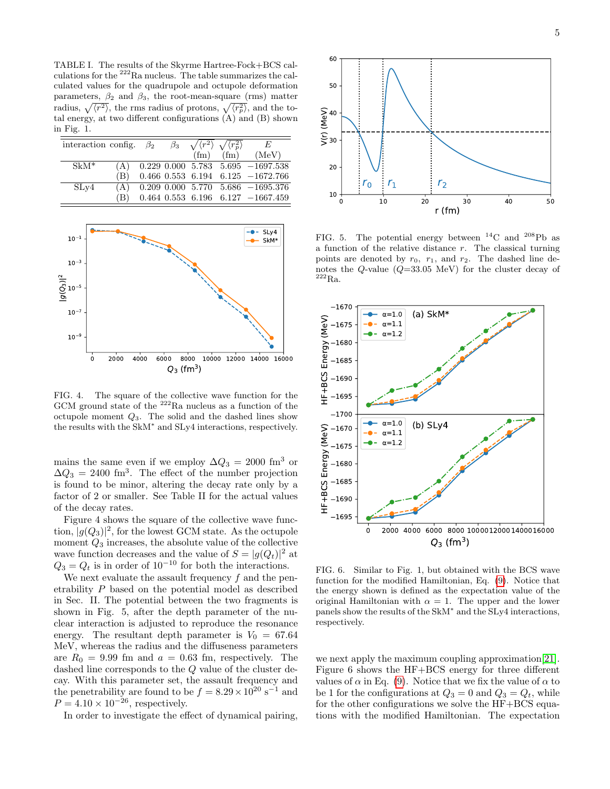TABLE I. The results of the Skyrme Hartree-Fock+BCS calculations for the  $^{222}$ Ra nucleus. The table summarizes the calculated values for the quadrupole and octupole deformation parameters,  $\beta_2$  and  $\beta_3$ , the root-mean-square (rms) matter radius,  $\sqrt{\langle r^2 \rangle}$ , the rms radius of protons,  $\sqrt{\langle r^2 \rangle}$ , and the total energy, at two different configurations (A) and (B) shown in Fig. 1.

| interaction config. $\beta_2$ |     |  | $\beta_3$ $\sqrt{\langle r^2 \rangle}$ $\sqrt{\langle r^2_n \rangle}$ |                   | E                                           |
|-------------------------------|-----|--|-----------------------------------------------------------------------|-------------------|---------------------------------------------|
|                               |     |  | (f <sub>m</sub> )                                                     | (f <sub>m</sub> ) | (MeV)                                       |
| $SkM^*$                       | (A) |  |                                                                       |                   | $0.229$ $0.000$ $5.783$ $5.695$ $-1697.538$ |
|                               | (B) |  |                                                                       |                   | $0.466$ $0.553$ $6.194$ $6.125$ $-1672.766$ |
| SLv4                          | (A) |  |                                                                       |                   | $0.209$ $0.000$ $5.770$ $5.686$ $-1695.376$ |
|                               | (B) |  |                                                                       |                   | $0.464$ $0.553$ $6.196$ $6.127$ $-1667.459$ |



FIG. 4. The square of the collective wave function for the GCM ground state of the <sup>222</sup>Ra nucleus as a function of the octupole moment  $Q_3$ . The solid and the dashed lines show the results with the SkM<sup>∗</sup> and SLy4 interactions, respectively.

mains the same even if we employ  $\Delta Q_3 = 2000$  fm<sup>3</sup> or  $\Delta Q_3 = 2400$  fm<sup>3</sup>. The effect of the number projection is found to be minor, altering the decay rate only by a factor of 2 or smaller. See Table II for the actual values of the decay rates.

Figure 4 shows the square of the collective wave function,  $|g(Q_3)|^2$ , for the lowest GCM state. As the octupole moment  $Q_3$  increases, the absolute value of the collective wave function decreases and the value of  $S = |g(Q_t)|^2$  at  $Q_3 = Q_t$  is in order of 10<sup>-10</sup> for both the interactions.

We next evaluate the assault frequency  $f$  and the penetrability P based on the potential model as described in Sec. II. The potential between the two fragments is shown in Fig. 5, after the depth parameter of the nuclear interaction is adjusted to reproduce the resonance energy. The resultant depth parameter is  $V_0 = 67.64$ MeV, whereas the radius and the diffuseness parameters are  $R_0 = 9.99$  fm and  $a = 0.63$  fm, respectively. The dashed line corresponds to the Q value of the cluster decay. With this parameter set, the assault frequency and the penetrability are found to be  $f = 8.29 \times 10^{20} \text{ s}^{-1}$  and  $P = 4.10 \times 10^{-26}$ , respectively.

In order to investigate the effect of dynamical pairing,



FIG. 5. The potential energy between  $^{14}$ C and  $^{208}$ Pb as a function of the relative distance r. The classical turning points are denoted by  $r_0$ ,  $r_1$ , and  $r_2$ . The dashed line denotes the  $Q$ -value  $(Q=33.05 \text{ MeV})$  for the cluster decay of  $^{222}Ra.$ 



FIG. 6. Similar to Fig. 1, but obtained with the BCS wave function for the modified Hamiltonian, Eq. [\(9\)](#page-2-1). Notice that the energy shown is defined as the expectation value of the original Hamiltonian with  $\alpha = 1$ . The upper and the lower panels show the results of the SkM<sup>∗</sup> and the SLy4 interactions, respectively.

we next apply the maximum coupling approximation[\[21\]](#page-7-11). Figure 6 shows the HF+BCS energy for three different values of  $\alpha$  in Eq. [\(9\)](#page-2-1). Notice that we fix the value of  $\alpha$  to be 1 for the configurations at  $Q_3 = 0$  and  $Q_3 = Q_t$ , while for the other configurations we solve the HF+BCS equations with the modified Hamiltonian. The expectation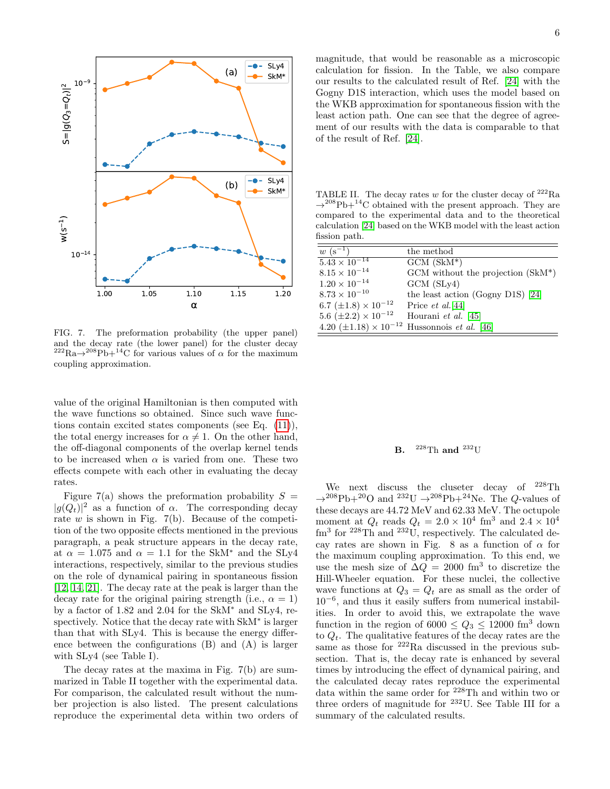

FIG. 7. The preformation probability (the upper panel) and the decay rate (the lower panel) for the cluster decay  $^{222}\text{Ra}\rightarrow^{208}\text{Pb}+^{14}\text{C}$  for various values of  $\alpha$  for the maximum coupling approximation.

value of the original Hamiltonian is then computed with the wave functions so obtained. Since such wave functions contain excited states components (see Eq. [\(11\)](#page-2-2)), the total energy increases for  $\alpha \neq 1$ . On the other hand, the off-diagonal components of the overlap kernel tends to be increased when  $\alpha$  is varied from one. These two effects compete with each other in evaluating the decay rates.

Figure 7(a) shows the preformation probability  $S =$  $|g(Q_t)|^2$  as a function of  $\alpha$ . The corresponding decay rate  $w$  is shown in Fig. 7(b). Because of the competition of the two opposite effects mentioned in the previous paragraph, a peak structure appears in the decay rate, at  $\alpha = 1.075$  and  $\alpha = 1.1$  for the SkM<sup>\*</sup> and the SLy4 interactions, respectively, similar to the previous studies on the role of dynamical pairing in spontaneous fission [\[12,](#page-7-4) [14,](#page-7-5) [21\]](#page-7-11). The decay rate at the peak is larger than the decay rate for the original pairing strength (i.e.,  $\alpha = 1$ ) by a factor of 1.82 and 2.04 for the SkM<sup>∗</sup> and SLy4, respectively. Notice that the decay rate with SkM<sup>∗</sup> is larger than that with SLy4. This is because the energy difference between the configurations (B) and (A) is larger with SLy4 (see Table I).

The decay rates at the maxima in Fig. 7(b) are summarized in Table II together with the experimental data. For comparison, the calculated result without the number projection is also listed. The present calculations reproduce the experimental deta within two orders of magnitude, that would be reasonable as a microscopic calculation for fission. In the Table, we also compare our results to the calculated result of Ref. [\[24\]](#page-7-14) with the Gogny D1S interaction, which uses the model based on the WKB approximation for spontaneous fission with the least action path. One can see that the degree of agreement of our results with the data is comparable to that of the result of Ref. [\[24\]](#page-7-14).

TABLE II. The decay rates  $w$  for the cluster decay of  $^{222}$ Ra  $\rightarrow ^{208}{\rm Pb} + ^{14}{\rm C}$  obtained with the present approach. They are compared to the experimental data and to the theoretical calculation [\[24\]](#page-7-14) based on the WKB model with the least action fission path.

| $w (s^{-1})$                    | the method                                                      |
|---------------------------------|-----------------------------------------------------------------|
| $5.43 \times 10^{-14}$          | $GCM$ $(SkM^*)$                                                 |
| $8.15 \times 10^{-14}$          | GCM without the projection $(SkM^*)$                            |
| $1.20 \times 10^{-14}$          | $GCM$ $(SLy4)$                                                  |
| $8.73 \times 10^{-10}$          | the least action (Gogny D1S) $[24]$                             |
| 6.7 ( $\pm 1.8$ ) × $10^{-12}$  | Price $et \ al.[44]$                                            |
| 5.6 $(\pm 2.2) \times 10^{-12}$ | Hourani <i>et al.</i> [45]                                      |
|                                 | 4.20 $(\pm 1.18) \times 10^{-12}$ Hussonnois <i>et al.</i> [46] |

# **B.**  ${}^{228}$ Th and  ${}^{232}$ U

We next discuss the cluseter decay of <sup>228</sup>Th  $\rightarrow$ <sup>208</sup>Pb+<sup>20</sup>O and <sup>232</sup>U  $\rightarrow$ <sup>208</sup>Pb+<sup>24</sup>Ne. The *Q*-values of these decays are 44.72 MeV and 62.33 MeV. The octupole moment at  $Q_t$  reads  $Q_t = 2.0 \times 10^4$  fm<sup>3</sup> and  $2.4 \times 10^4$ fm<sup>3</sup> for <sup>228</sup>Th and <sup>232</sup>U, respectively. The calculated decay rates are shown in Fig. 8 as a function of  $\alpha$  for the maximum coupling approximation. To this end, we use the mesh size of  $\Delta Q = 2000$  fm<sup>3</sup> to discretize the Hill-Wheeler equation. For these nuclei, the collective wave functions at  $Q_3 = Q_t$  are as small as the order of 10<sup>−</sup><sup>6</sup> , and thus it easily suffers from numerical instabilities. In order to avoid this, we extrapolate the wave function in the region of  $6000 \leq Q_3 \leq 12000$  fm<sup>3</sup> down to  $Q_t$ . The qualitative features of the decay rates are the same as those for <sup>222</sup>Ra discussed in the previous subsection. That is, the decay rate is enhanced by several times by introducing the effect of dynamical pairing, and the calculated decay rates reproduce the experimental data within the same order for <sup>228</sup>Th and within two or three orders of magnitude for  $232$ U. See Table III for a summary of the calculated results.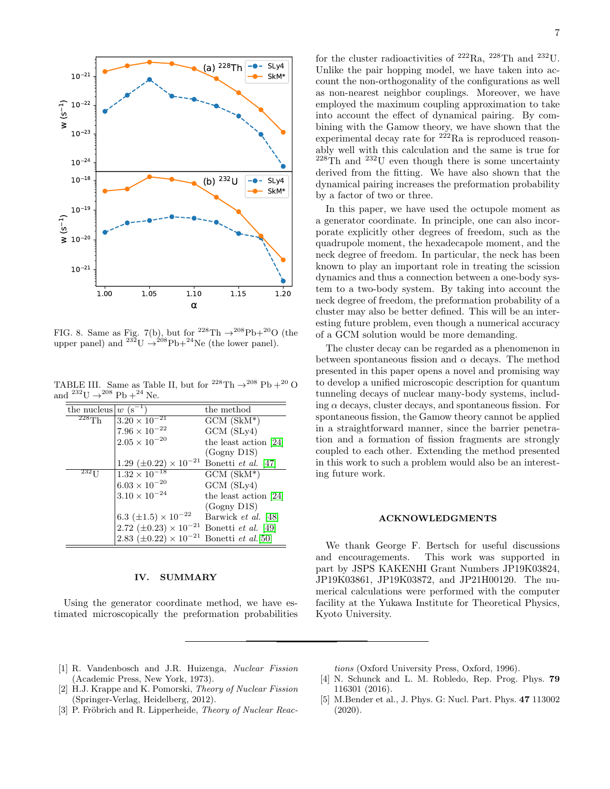

FIG. 8. Same as Fig. 7(b), but for <sup>228</sup>Th  $\rightarrow$ <sup>208</sup>Pb+<sup>20</sup>O (the upper panel) and  $^{232}U \rightarrow ^{208}Pb+^{24}Ne$  (the lower panel).

TABLE III. Same as Table II, but for <sup>228</sup>Th  $\rightarrow$ <sup>208</sup> Pb +<sup>20</sup> O and  $^{232}$ U  $\rightarrow$   $^{208}$  Pb  $+$   $^{24}$  Ne.

| the nucleus $ w(\mathbf{s}^{-1}) $ |                                                              | the method                 |
|------------------------------------|--------------------------------------------------------------|----------------------------|
| $^{228}$ Th                        | $3.20 \times 10^{-21}$                                       | $GCM$ $(SkM^*)$            |
|                                    | $7.96\times10^{-22}$                                         | $GCM$ $(SLy4)$             |
|                                    | $2.05\times10^{-20}$                                         |                            |
|                                    |                                                              | the least action $[24]$    |
|                                    |                                                              | $(Gogny$ D1S $)$           |
|                                    | 1.29 $(\pm 0.22) \times 10^{-21}$                            | Bonetti et al. [47]        |
| $232$ T I                          | $\frac{1.32 \times 10^{-18}}{1.32 \times 10^{-18}}$          | $GCM$ $(SkM^*)$            |
|                                    | $6.03 \times 10^{-20}$                                       | $GCM$ $(SLy4)$             |
|                                    | $3.10 \times 10^{-24}$                                       | the least action [24]      |
|                                    |                                                              | $(Gogny$ D1S $)$           |
|                                    | 6.3 ( $\pm 1.5$ ) $\times 10^{-22}$                          | Barwick <i>et al.</i> [48] |
|                                    | $2.72 \ (\pm 0.23) \times 10^{-21}$                          | Bonetti et al. [49]        |
|                                    | 2.83 $(\pm 0.22) \times 10^{-21}$ Bonetti <i>et al.</i> [50] |                            |

### IV. SUMMARY

Using the generator coordinate method, we have estimated microscopically the preformation probabilities

for the cluster radioactivities of  $^{222}Ra$ ,  $^{228}Th$  and  $^{232}U$ . Unlike the pair hopping model, we have taken into account the non-orthogonality of the configurations as well as non-nearest neighbor couplings. Moreover, we have employed the maximum coupling approximation to take into account the effect of dynamical pairing. By combining with the Gamow theory, we have shown that the experimental decay rate for  $222Ra$  is reproduced reasonably well with this calculation and the same is true for  $228 \text{Th}$  and  $232 \text{U}$  even though there is some uncertainty derived from the fitting. We have also shown that the dynamical pairing increases the preformation probability by a factor of two or three.

In this paper, we have used the octupole moment as a generator coordinate. In principle, one can also incorporate explicitly other degrees of freedom, such as the quadrupole moment, the hexadecapole moment, and the neck degree of freedom. In particular, the neck has been known to play an important role in treating the scission dynamics and thus a connection between a one-body system to a two-body system. By taking into account the neck degree of freedom, the preformation probability of a cluster may also be better defined. This will be an interesting future problem, even though a numerical accuracy of a GCM solution would be more demanding.

The cluster decay can be regarded as a phenomenon in between spontaneous fission and  $\alpha$  decays. The method presented in this paper opens a novel and promising way to develop a unified microscopic description for quantum tunneling decays of nuclear many-body systems, including  $\alpha$  decays, cluster decays, and spontaneous fission. For spontaneous fission, the Gamow theory cannot be applied in a straightforward manner, since the barrier penetration and a formation of fission fragments are strongly coupled to each other. Extending the method presented in this work to such a problem would also be an interesting future work.

#### ACKNOWLEDGMENTS

We thank George F. Bertsch for useful discussions and encouragements. This work was supported in part by JSPS KAKENHI Grant Numbers JP19K03824, JP19K03861, JP19K03872, and JP21H00120. The numerical calculations were performed with the computer facility at the Yukawa Institute for Theoretical Physics, Kyoto University.

- <span id="page-6-0"></span>[1] R. Vandenbosch and J.R. Huizenga, Nuclear Fission (Academic Press, New York, 1973).
- [2] H.J. Krappe and K. Pomorski, Theory of Nuclear Fission (Springer-Verlag, Heidelberg, 2012).
- [3] P. Fröbrich and R. Lipperheide, *Theory of Nuclear Reac*-

tions (Oxford University Press, Oxford, 1996).

- <span id="page-6-1"></span>[4] N. Schunck and L. M. Robledo, Rep. Prog. Phys. **79** 116301 (2016).
- <span id="page-6-2"></span>[5] M.Bender et al., J. Phys. G: Nucl. Part. Phys. 47 113002 (2020).